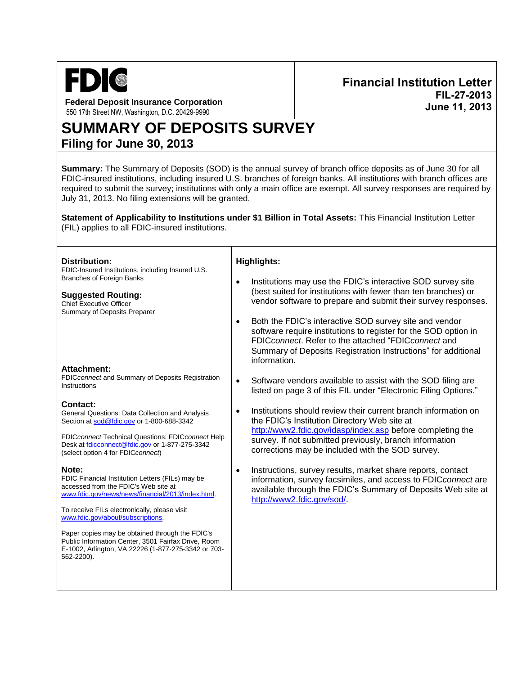

**Federal Deposit Insurance Corporation** 550 17th Street NW, Washington, D.C. 20429-9990

# **SUMMARY OF DEPOSITS SURVEY Filing for June 30, 2013**

**Summary:** The Summary of Deposits (SOD) is the annual survey of branch office deposits as of June 30 for all FDIC-insured institutions, including insured U.S. branches of foreign banks. All institutions with branch offices are required to submit the survey; institutions with only a main office are exempt. All survey responses are required by July 31, 2013. No filing extensions will be granted.

**Statement of Applicability to Institutions under \$1 Billion in Total Assets:** This Financial Institution Letter (FIL) applies to all FDIC-insured institutions.

Т

| Distribution:<br>FDIC-Insured Institutions, including Insured U.S.                                                                                                                                                                                    | <b>Highlights:</b>                                                                                                                                                                                                                                                                                       |  |
|-------------------------------------------------------------------------------------------------------------------------------------------------------------------------------------------------------------------------------------------------------|----------------------------------------------------------------------------------------------------------------------------------------------------------------------------------------------------------------------------------------------------------------------------------------------------------|--|
| <b>Branches of Foreign Banks</b><br><b>Suggested Routing:</b><br><b>Chief Executive Officer</b><br>Summary of Deposits Preparer                                                                                                                       | Institutions may use the FDIC's interactive SOD survey site<br>$\bullet$<br>(best suited for institutions with fewer than ten branches) or<br>vendor software to prepare and submit their survey responses.                                                                                              |  |
|                                                                                                                                                                                                                                                       | Both the FDIC's interactive SOD survey site and vendor<br>software require institutions to register for the SOD option in<br>FDICconnect. Refer to the attached "FDICconnect and<br>Summary of Deposits Registration Instructions" for additional<br>information.                                        |  |
| Attachment:<br>FDICconnect and Summary of Deposits Registration<br>Instructions                                                                                                                                                                       | Software vendors available to assist with the SOD filing are<br>$\bullet$<br>listed on page 3 of this FIL under "Electronic Filing Options."                                                                                                                                                             |  |
| Contact:<br>General Questions: Data Collection and Analysis<br>Section at sod@fdic.gov or 1-800-688-3342<br>FDICconnect Technical Questions: FDICconnect Help<br>Desk at fdicconnect@fdic.gov or 1-877-275-3342<br>(select option 4 for FDIC connect) | Institutions should review their current branch information on<br>$\bullet$<br>the FDIC's Institution Directory Web site at<br>http://www2.fdic.gov/idasp/index.asp before completing the<br>survey. If not submitted previously, branch information<br>corrections may be included with the SOD survey. |  |
| Note:<br>FDIC Financial Institution Letters (FILs) may be<br>accessed from the FDIC's Web site at<br>www.fdic.gov/news/news/financial/2013/index.html.<br>To receive FILs electronically, please visit<br>www.fdic.gov/about/subscriptions.           | Instructions, survey results, market share reports, contact<br>$\bullet$<br>information, survey facsimiles, and access to FDICconnect are<br>available through the FDIC's Summary of Deposits Web site at<br>http://www2.fdic.gov/sod/.                                                                  |  |
| Paper copies may be obtained through the FDIC's<br>Public Information Center, 3501 Fairfax Drive, Room<br>E-1002, Arlington, VA 22226 (1-877-275-3342 or 703-<br>562-2200).                                                                           |                                                                                                                                                                                                                                                                                                          |  |

**Financial Institution Letter FIL-27-2013 June 11, 2013**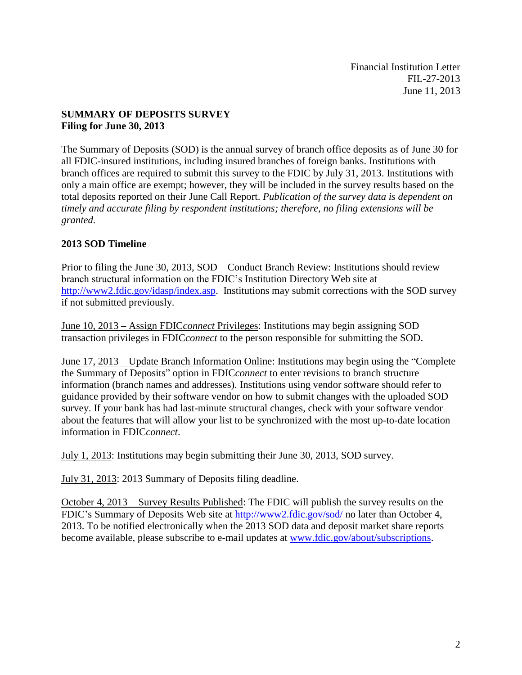Financial Institution Letter FIL-27-2013 June 11, 2013

#### **SUMMARY OF DEPOSITS SURVEY Filing for June 30, 2013**

The Summary of Deposits (SOD) is the annual survey of branch office deposits as of June 30 for all FDIC-insured institutions, including insured branches of foreign banks. Institutions with branch offices are required to submit this survey to the FDIC by July 31, 2013. Institutions with only a main office are exempt; however, they will be included in the survey results based on the total deposits reported on their June Call Report. *Publication of the survey data is dependent on timely and accurate filing by respondent institutions; therefore, no filing extensions will be granted.*

### **2013 SOD Timeline**

Prior to filing the June 30, 2013, SOD – Conduct Branch Review: Institutions should review branch structural information on the FDIC's Institution Directory Web site at [http://www2.fdic.gov/idasp/index.asp.](http://www2.fdic.gov/idasp/index.asp) Institutions may submit corrections with the SOD survey if not submitted previously.

June 10, 2013 **–** Assign FDIC*connect* Privileges: Institutions may begin assigning SOD transaction privileges in FDIC*connect* to the person responsible for submitting the SOD.

June 17, 2013 – Update Branch Information Online: Institutions may begin using the "Complete the Summary of Deposits" option in FDIC*connect* to enter revisions to branch structure information (branch names and addresses). Institutions using vendor software should refer to guidance provided by their software vendor on how to submit changes with the uploaded SOD survey. If your bank has had last-minute structural changes, check with your software vendor about the features that will allow your list to be synchronized with the most up-to-date location information in FDIC*connect*.

July 1, 2013: Institutions may begin submitting their June 30, 2013, SOD survey.

July 31, 2013: 2013 Summary of Deposits filing deadline.

October 4, 2013 − Survey Results Published: The FDIC will publish the survey results on the FDIC's Summary of Deposits Web site at <http://www2.fdic.gov/sod/> no later than October 4, 2013. To be notified electronically when the 2013 SOD data and deposit market share reports become available, please subscribe to e-mail updates at [www.fdic.gov/about/subscriptions.](http://www.fdic.gov/about/subscriptions)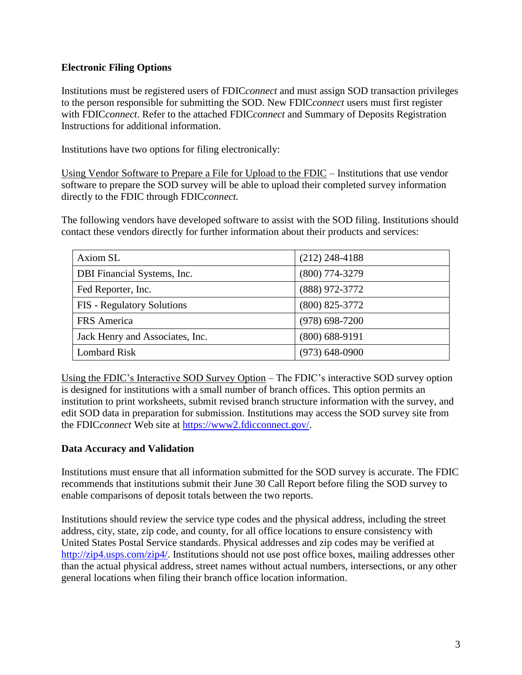#### **Electronic Filing Options**

Institutions must be registered users of FDIC*connect* and must assign SOD transaction privileges to the person responsible for submitting the SOD. New FDIC*connect* users must first register with FDIC*connect*. Refer to the attached FDIC*connect* and Summary of Deposits Registration Instructions for additional information.

Institutions have two options for filing electronically:

Using Vendor Software to Prepare a File for Upload to the FDIC – Institutions that use vendor software to prepare the SOD survey will be able to upload their completed survey information directly to the FDIC through FDIC*connect.*

The following vendors have developed software to assist with the SOD filing. Institutions should contact these vendors directly for further information about their products and services:

| Axiom SL                          | $(212)$ 248-4188   |
|-----------------------------------|--------------------|
| DBI Financial Systems, Inc.       | $(800)$ 774-3279   |
| Fed Reporter, Inc.                | (888) 972-3772     |
| <b>FIS</b> - Regulatory Solutions | $(800)$ 825-3772   |
| FRS America                       | $(978)$ 698-7200   |
| Jack Henry and Associates, Inc.   | $(800)$ 688-9191   |
| <b>Lombard Risk</b>               | $(973) 648 - 0900$ |

Using the FDIC's Interactive SOD Survey Option – The FDIC's interactive SOD survey option is designed for institutions with a small number of branch offices. This option permits an institution to print worksheets, submit revised branch structure information with the survey, and edit SOD data in preparation for submission. Institutions may access the SOD survey site from the FDIC*connect* Web site at [https://www2.fdicconnect.gov/.](https://www2.fdicconnect.gov/)

#### **Data Accuracy and Validation**

Institutions must ensure that all information submitted for the SOD survey is accurate. The FDIC recommends that institutions submit their June 30 Call Report before filing the SOD survey to enable comparisons of deposit totals between the two reports.

Institutions should review the service type codes and the physical address, including the street address, city, state, zip code, and county, for all office locations to ensure consistency with United States Postal Service standards. Physical addresses and zip codes may be verified at [http://zip4.usps.com/zip4/.](http://zip4.usps.com/zip4/) Institutions should not use post office boxes, mailing addresses other than the actual physical address, street names without actual numbers, intersections, or any other general locations when filing their branch office location information.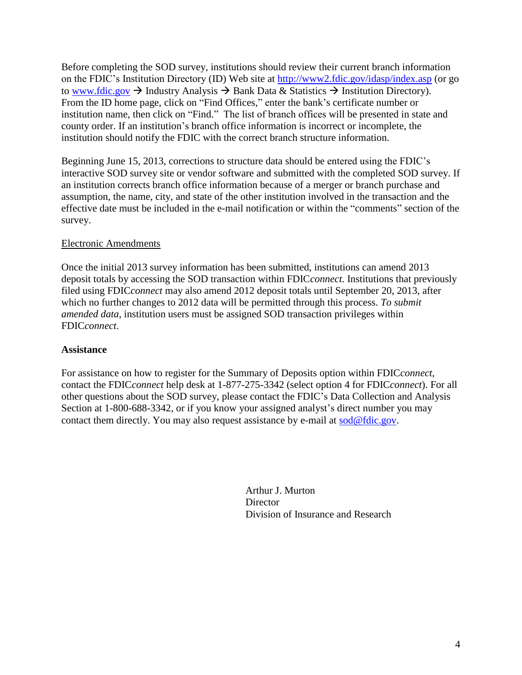Before completing the SOD survey, institutions should review their current branch information on the FDIC's Institution Directory (ID) Web site at <http://www2.fdic.gov/idasp/index.asp> (or go to [www.fdic.gov](http://www.fdic.gov/)  $\rightarrow$  Industry Analysis  $\rightarrow$  Bank Data & Statistics  $\rightarrow$  Institution Directory). From the ID home page, click on "Find Offices," enter the bank's certificate number or institution name, then click on "Find." The list of branch offices will be presented in state and county order. If an institution's branch office information is incorrect or incomplete, the institution should notify the FDIC with the correct branch structure information.

Beginning June 15, 2013, corrections to structure data should be entered using the FDIC's interactive SOD survey site or vendor software and submitted with the completed SOD survey. If an institution corrects branch office information because of a merger or branch purchase and assumption, the name, city, and state of the other institution involved in the transaction and the effective date must be included in the e-mail notification or within the "comments" section of the survey.

#### Electronic Amendments

Once the initial 2013 survey information has been submitted, institutions can amend 2013 deposit totals by accessing the SOD transaction within FDIC*connect*. Institutions that previously filed using FDIC*connect* may also amend 2012 deposit totals until September 20, 2013, after which no further changes to 2012 data will be permitted through this process. *To submit amended data*, institution users must be assigned SOD transaction privileges within FDIC*connect*.

#### **Assistance**

For assistance on how to register for the Summary of Deposits option within FDIC*connect*, contact the FDIC*connect* help desk at 1-877-275-3342 (select option 4 for FDIC*connect*). For all other questions about the SOD survey, please contact the FDIC's Data Collection and Analysis Section at 1-800-688-3342, or if you know your assigned analyst's direct number you may contact them directly. You may also request assistance by e-mail at [sod@fdic.gov.](mailto:sod@fdic.gov)

> Arthur J. Murton **Director** Division of Insurance and Research